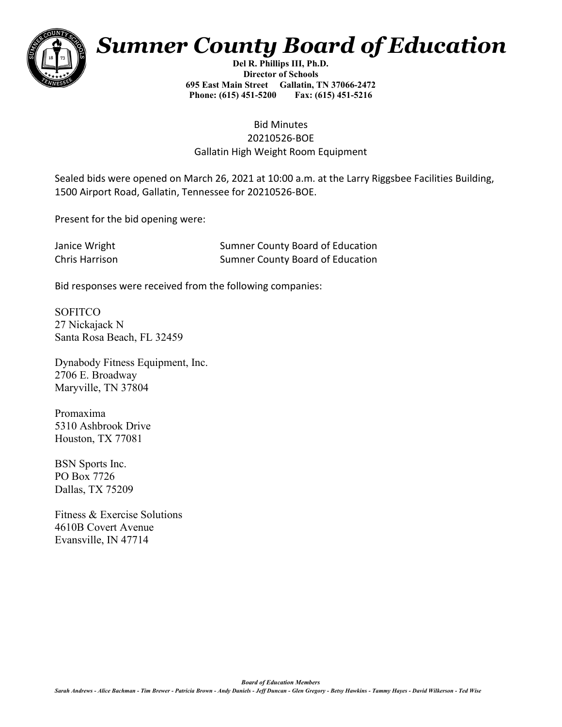

## *Sumner County Board of Education*

**Del R. Phillips III, Ph.D. Director of Schools 695 East Main Street Gallatin, TN 37066-2472 Phone: (615) 451-5200 Fax: (615) 451-5216** 

## Bid Minutes 20210526-BOE Gallatin High Weight Room Equipment

Sealed bids were opened on March 26, 2021 at 10:00 a.m. at the Larry Riggsbee Facilities Building, 1500 Airport Road, Gallatin, Tennessee for 20210526-BOE.

Present for the bid opening were:

| Janice Wright  | <b>Sumner County Board of Education</b> |
|----------------|-----------------------------------------|
| Chris Harrison | <b>Sumner County Board of Education</b> |

Bid responses were received from the following companies:

**SOFITCO** 27 Nickajack N Santa Rosa Beach, FL 32459

Dynabody Fitness Equipment, Inc. 2706 E. Broadway Maryville, TN 37804

Promaxima 5310 Ashbrook Drive Houston, TX 77081

BSN Sports Inc. PO Box 7726 Dallas, TX 75209

Fitness & Exercise Solutions 4610B Covert Avenue Evansville, IN 47714